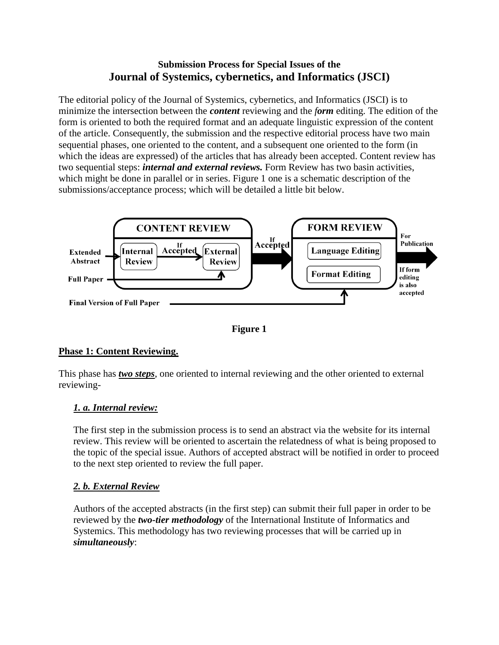# **Submission Process for Special Issues of the Journal of Systemics, cybernetics, and Informatics (JSCI)**

The editorial policy of the Journal of Systemics, cybernetics, and Informatics (JSCI) is to minimize the intersection between the *content* reviewing and the *form* editing. The edition of the form is oriented to both the required format and an adequate linguistic expression of the content of the article. Consequently, the submission and the respective editorial process have two main sequential phases, one oriented to the content, and a subsequent one oriented to the form (in which the ideas are expressed) of the articles that has already been accepted. Content review has two sequential steps: *internal and external reviews.* Form Review has two basin activities, which might be done in parallel or in series. Figure 1 one is a schematic description of the submissions/acceptance process; which will be detailed a little bit below.



**Figure 1**

# **Phase 1: Content Reviewing.**

This phase has *two steps*, one oriented to internal reviewing and the other oriented to external reviewing-

# *1. a. Internal review:*

The first step in the submission process is to send an abstract via the website for its internal review. This review will be oriented to ascertain the relatedness of what is being proposed to the topic of the special issue. Authors of accepted abstract will be notified in order to proceed to the next step oriented to review the full paper.

# *2. b. External Review*

Authors of the accepted abstracts (in the first step) can submit their full paper in order to be reviewed by the *two-tier methodology* of the International Institute of Informatics and Systemics. This methodology has two reviewing processes that will be carried up in *simultaneously*: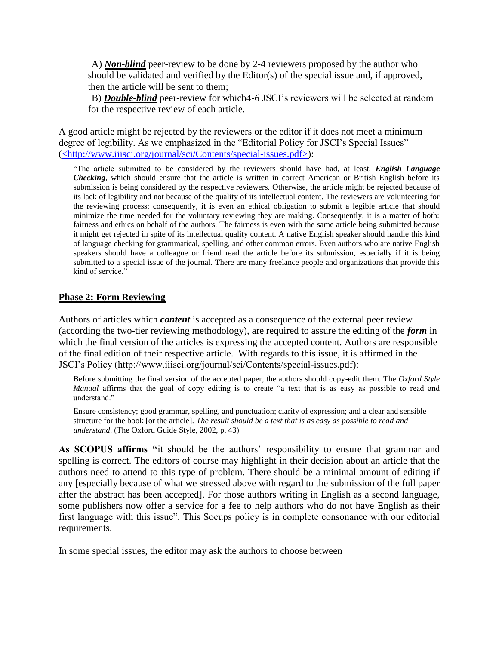A) *Non-blind* peer-review to be done by 2-4 reviewers proposed by the author who should be validated and verified by the Editor(s) of the special issue and, if approved, then the article will be sent to them;

B) *Double-blind* peer-review for which4-6 JSCI's reviewers will be selected at random for the respective review of each article.

A good article might be rejected by the reviewers or the editor if it does not meet a minimum degree of legibility. As we emphasized in the "Editorial Policy for JSCI's Special Issues" (<http://www.iiisci.org/journal/sci/Contents/special-issues.pdf>):

"The article submitted to be considered by the reviewers should have had, at least, *English Language Checking*, which should ensure that the article is written in correct American or British English before its submission is being considered by the respective reviewers. Otherwise, the article might be rejected because of its lack of legibility and not because of the quality of its intellectual content. The reviewers are volunteering for the reviewing process; consequently, it is even an ethical obligation to submit a legible article that should minimize the time needed for the voluntary reviewing they are making. Consequently, it is a matter of both: fairness and ethics on behalf of the authors. The fairness is even with the same article being submitted because it might get rejected in spite of its intellectual quality content. A native English speaker should handle this kind of language checking for grammatical, spelling, and other common errors. Even authors who are native English speakers should have a colleague or friend read the article before its submission, especially if it is being submitted to a special issue of the journal. There are many freelance people and organizations that provide this kind of service."

### **Phase 2: Form Reviewing**

Authors of articles which *content* is accepted as a consequence of the external peer review (according the two-tier reviewing methodology), are required to assure the editing of the *form* in which the final version of the articles is expressing the accepted content. Authors are responsible of the final edition of their respective article. With regards to this issue, it is affirmed in the JSCI's Policy (http://www.iiisci.org/journal/sci/Contents/special-issues.pdf):

Before submitting the final version of the accepted paper, the authors should copy-edit them. The *Oxford Style Manual* affirms that the goal of copy editing is to create "a text that is as easy as possible to read and understand."

Ensure consistency; good grammar, spelling, and punctuation; clarity of expression; and a clear and sensible structure for the book [or the article]. *The result should be a text that is as easy as possible to read and understand*. (The Oxford Guide Style, 2002, p. 43)

**As SCOPUS affirms "**it should be the authors' responsibility to ensure that grammar and spelling is correct. The editors of course may highlight in their decision about an article that the authors need to attend to this type of problem. There should be a minimal amount of editing if any [especially because of what we stressed above with regard to the submission of the full paper after the abstract has been accepted]. For those authors writing in English as a second language, some publishers now offer a service for a fee to help authors who do not have English as their first language with this issue". This Socups policy is in complete consonance with our editorial requirements.

In some special issues, the editor may ask the authors to choose between